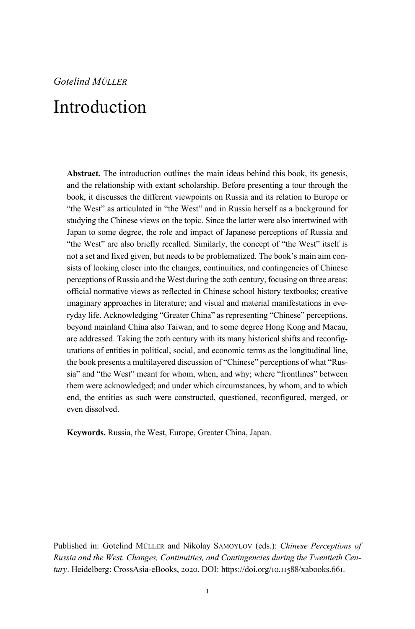# Introduction

**Abstract.** The introduction outlines the main ideas behind this book, its genesis, and the relationship with extant scholarship. Before presenting a tour through the book, it discusses the different viewpoints on Russia and its relation to Europe or "the West" as articulated in "the West" and in Russia herself as a background for studying the Chinese views on the topic. Since the latter were also intertwined with Japan to some degree, the role and impact of Japanese perceptions of Russia and "the West" are also briefly recalled. Similarly, the concept of "the West" itself is not a set and fixed given, but needs to be problematized. The book's main aim consists of looking closer into the changes, continuities, and contingencies of Chinese perceptions of Russia and the West during the 20th century, focusing on three areas: official normative views as reflected in Chinese school history textbooks; creative imaginary approaches in literature; and visual and material manifestations in everyday life. Acknowledging "Greater China" as representing "Chinese" perceptions, beyond mainland China also Taiwan, and to some degree Hong Kong and Macau, are addressed. Taking the 20th century with its many historical shifts and reconfigurations of entities in political, social, and economic terms as the longitudinal line, the book presents a multilayered discussion of "Chinese" perceptions of what "Russia" and "the West" meant for whom, when, and why; where "frontlines" between them were acknowledged; and under which circumstances, by whom, and to which end, the entities as such were constructed, questioned, reconfigured, merged, or even dissolved.

**Keywords.** Russia, the West, Europe, Greater China, Japan.

Published in: Gotelind MÜLLER and Nikolay SAMOYLOV (eds.): *Chinese Perceptions of Russia and the West. Changes, Continuities, and Contingencies during the Twentieth Cen*tury. Heidelberg: CrossAsia-eBooks, 2020. DOI: https://doi.org/10.11588/xabooks.661.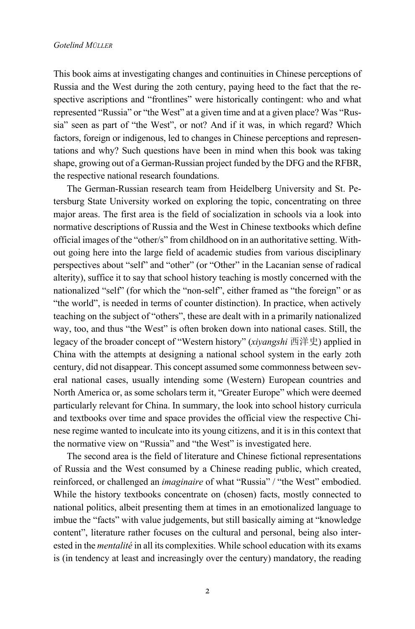This book aims at investigating changes and continuities in Chinese perceptions of Russia and the West during the 20th century, paying heed to the fact that the respective ascriptions and "frontlines" were historically contingent: who and what represented "Russia" or "the West" at a given time and at a given place? Was "Russia" seen as part of "the West", or not? And if it was, in which regard? Which factors, foreign or indigenous, led to changes in Chinese perceptions and representations and why? Such questions have been in mind when this book was taking shape, growing out of a German-Russian project funded by the DFG and the RFBR, the respective national research foundations.

The German-Russian research team from Heidelberg University and St. Petersburg State University worked on exploring the topic, concentrating on three major areas. The first area is the field of socialization in schools via a look into normative descriptions of Russia and the West in Chinese textbooks which define official images of the "other/s" from childhood on in an authoritative setting. Without going here into the large field of academic studies from various disciplinary perspectives about "self" and "other" (or "Other" in the Lacanian sense of radical alterity), suffice it to say that school history teaching is mostly concerned with the nationalized "self" (for which the "non-self", either framed as "the foreign" or as "the world", is needed in terms of counter distinction). In practice, when actively teaching on the subject of "others", these are dealt with in a primarily nationalized way, too, and thus "the West" is often broken down into national cases. Still, the legacy of the broader concept of "Western history" (*xiyangshi* 西洋史) applied in China with the attempts at designing a national school system in the early 20th century, did not disappear. This concept assumed some commonness between several national cases, usually intending some (Western) European countries and North America or, as some scholars term it, "Greater Europe" which were deemed particularly relevant for China. In summary, the look into school history curricula and textbooks over time and space provides the official view the respective Chinese regime wanted to inculcate into its young citizens, and it is in this context that the normative view on "Russia" and "the West" is investigated here.

The second area is the field of literature and Chinese fictional representations of Russia and the West consumed by a Chinese reading public, which created, reinforced, or challenged an *imaginaire* of what "Russia" / "the West" embodied. While the history textbooks concentrate on (chosen) facts, mostly connected to national politics, albeit presenting them at times in an emotionalized language to imbue the "facts" with value judgements, but still basically aiming at "knowledge content", literature rather focuses on the cultural and personal, being also interested in the *mentalité* in all its complexities. While school education with its exams is (in tendency at least and increasingly over the century) mandatory, the reading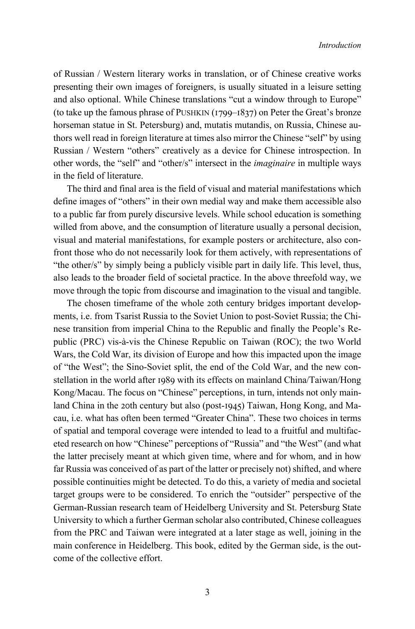of Russian / Western literary works in translation, or of Chinese creative works presenting their own images of foreigners, is usually situated in a leisure setting and also optional. While Chinese translations "cut a window through to Europe" (to take up the famous phrase of PUSHKIN  $(1799-1837)$  on Peter the Great's bronze horseman statue in St. Petersburg) and, mutatis mutandis, on Russia, Chinese authors well read in foreign literature at times also mirror the Chinese "self" by using Russian / Western "others" creatively as a device for Chinese introspection. In other words, the "self" and "other/s" intersect in the *imaginaire* in multiple ways in the field of literature.

The third and final area is the field of visual and material manifestations which define images of "others" in their own medial way and make them accessible also to a public far from purely discursive levels. While school education is something willed from above, and the consumption of literature usually a personal decision, visual and material manifestations, for example posters or architecture, also confront those who do not necessarily look for them actively, with representations of "the other/s" by simply being a publicly visible part in daily life. This level, thus, also leads to the broader field of societal practice. In the above threefold way, we move through the topic from discourse and imagination to the visual and tangible.

The chosen timeframe of the whole 20th century bridges important developments, i.e. from Tsarist Russia to the Soviet Union to post-Soviet Russia; the Chinese transition from imperial China to the Republic and finally the People's Republic (PRC) vis-à-vis the Chinese Republic on Taiwan (ROC); the two World Wars, the Cold War, its division of Europe and how this impacted upon the image of "the West"; the Sino-Soviet split, the end of the Cold War, and the new constellation in the world after 1989 with its effects on mainland China/Taiwan/Hong Kong/Macau. The focus on "Chinese" perceptions, in turn, intends not only mainland China in the 20th century but also (post-1945) Taiwan, Hong Kong, and Macau, i.e. what has often been termed "Greater China". These two choices in terms of spatial and temporal coverage were intended to lead to a fruitful and multifaceted research on how "Chinese" perceptions of "Russia" and "the West" (and what the latter precisely meant at which given time, where and for whom, and in how far Russia was conceived of as part of the latter or precisely not) shifted, and where possible continuities might be detected. To do this, a variety of media and societal target groups were to be considered. To enrich the "outsider" perspective of the German-Russian research team of Heidelberg University and St. Petersburg State University to which a further German scholar also contributed, Chinese colleagues from the PRC and Taiwan were integrated at a later stage as well, joining in the main conference in Heidelberg. This book, edited by the German side, is the outcome of the collective effort.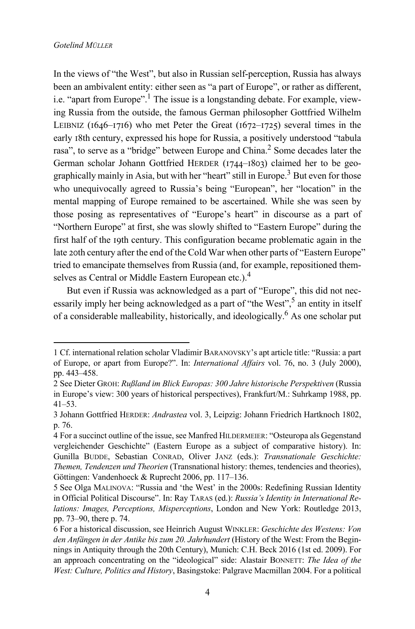In the views of "the West", but also in Russian self-perception, Russia has always been an ambivalent entity: either seen as "a part of Europe", or rather as different, i.e. "apart from Europe".<sup>1</sup> The issue is a longstanding debate. For example, viewing Russia from the outside, the famous German philosopher Gottfried Wilhelm LEIBNIZ (1646–1716) who met Peter the Great (1672–1725) several times in the early 18th century, expressed his hope for Russia, a positively understood "tabula" rasa", to serve as a "bridge" between Europe and China.<sup>2</sup> Some decades later the German scholar Johann Gottfried HERDER (1744–1803) claimed her to be geographically mainly in Asia, but with her "heart" still in Europe.<sup>3</sup> But even for those who unequivocally agreed to Russia's being "European", her "location" in the mental mapping of Europe remained to be ascertained. While she was seen by those posing as representatives of "Europe's heart" in discourse as a part of "Northern Europe" at first, she was slowly shifted to "Eastern Europe" during the first half of the 19th century. This configuration became problematic again in the late 20th century after the end of the Cold War when other parts of "Eastern Europe" tried to emancipate themselves from Russia (and, for example, repositioned themselves as Central or Middle Eastern European etc.).<sup>4</sup>

But even if Russia was acknowledged as a part of "Europe", this did not necessarily imply her being acknowledged as a part of "the West",<sup>5</sup> an entity in itself of a considerable malleability, historically, and ideologically.6 As one scholar put

<sup>1</sup> Cf. international relation scholar Vladimir BARANOVSKY's apt article title: "Russia: a part of Europe, or apart from Europe?". In: *International Affairs* vol. 76, no. 3 (July 2000), pp. 443–458.

<sup>2</sup> See Dieter GROH: *Rußland im Blick Europas: 300 Jahre historische Perspektiven* (Russia in Europe's view: 300 years of historical perspectives), Frankfurt/M.: Suhrkamp 1988, pp. 41–53.

<sup>3</sup> Johann Gottfried HERDER: *Andrastea* vol. 3, Leipzig: Johann Friedrich Hartknoch 1802, p. 76.

<sup>4</sup> For a succinct outline of the issue, see Manfred HILDERMEIER: "Osteuropa als Gegenstand vergleichender Geschichte" (Eastern Europe as a subject of comparative history). In: Gunilla BUDDE, Sebastian CONRAD, Oliver JANZ (eds.): *Transnationale Geschichte: Themen, Tendenzen und Theorien* (Transnational history: themes, tendencies and theories), Göttingen: Vandenhoeck & Ruprecht 2006, pp. 117–136.

<sup>5</sup> See Olga MALINOVA: "Russia and 'the West' in the 2000s: Redefining Russian Identity in Official Political Discourse". In: Ray TARAS (ed.): *Russia's Identity in International Relations: Images, Perceptions, Misperceptions*, London and New York: Routledge 2013, pp. 73–90, there p. 74.

<sup>6</sup> For a historical discussion, see Heinrich August WINKLER: *Geschichte des Westens: Von den Anfängen in der Antike bis zum 20. Jahrhundert* (History of the West: From the Beginnings in Antiquity through the 20th Century), Munich: C.H. Beck 2016 (1st ed. 2009). For an approach concentrating on the "ideological" side: Alastair BONNETT: *The Idea of the West: Culture, Politics and History*, Basingstoke: Palgrave Macmillan 2004. For a political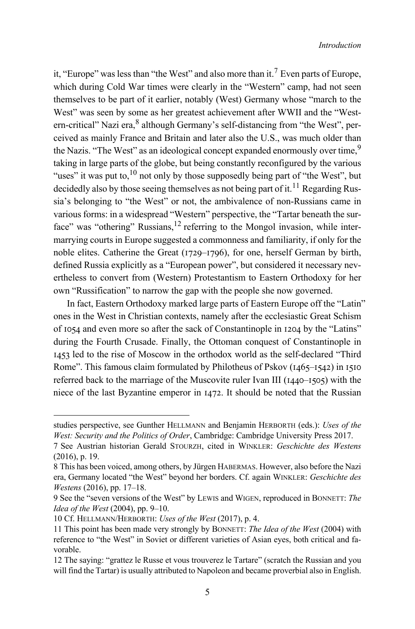it, "Europe" was less than "the West" and also more than it.<sup>7</sup> Even parts of Europe, which during Cold War times were clearly in the "Western" camp, had not seen themselves to be part of it earlier, notably (West) Germany whose "march to the West" was seen by some as her greatest achievement after WWII and the "Western-critical" Nazi era, <sup>8</sup> although Germany's self-distancing from "the West", perceived as mainly France and Britain and later also the U.S., was much older than the Nazis. "The West" as an ideological concept expanded enormously over time,<sup>9</sup> taking in large parts of the globe, but being constantly reconfigured by the various "uses" it was put to, $^{10}$  not only by those supposedly being part of "the West", but decidedly also by those seeing themselves as not being part of it.<sup>11</sup> Regarding Russia's belonging to "the West" or not, the ambivalence of non-Russians came in various forms: in a widespread "Western" perspective, the "Tartar beneath the surface" was "othering" Russians, $12$  referring to the Mongol invasion, while intermarrying courts in Europe suggested a commonness and familiarity, if only for the noble elites. Catherine the Great (1729–1796), for one, herself German by birth, defined Russia explicitly as a "European power", but considered it necessary nevertheless to convert from (Western) Protestantism to Eastern Orthodoxy for her own "Russification" to narrow the gap with the people she now governed.

In fact, Eastern Orthodoxy marked large parts of Eastern Europe off the "Latin" ones in the West in Christian contexts, namely after the ecclesiastic Great Schism of 1054 and even more so after the sack of Constantinople in 1204 by the "Latins" during the Fourth Crusade. Finally, the Ottoman conquest of Constantinople in  $1453$  led to the rise of Moscow in the orthodox world as the self-declared "Third" Rome". This famous claim formulated by Philotheus of Pskov  $(1465-1542)$  in 1510 referred back to the marriage of the Muscovite ruler Ivan III ( $1440-1505$ ) with the niece of the last Byzantine emperor in  $1472$ . It should be noted that the Russian

studies perspective, see Gunther HELLMANN and Benjamin HERBORTH (eds.): *Uses of the West: Security and the Politics of Order*, Cambridge: Cambridge University Press 2017.

<sup>7</sup> See Austrian historian Gerald STOURZH, cited in WINKLER: *Geschichte des Westens* (2016), p. 19.

<sup>8</sup> This has been voiced, among others, by Jürgen HABERMAS. However, also before the Nazi era, Germany located "the West" beyond her borders. Cf. again WINKLER: *Geschichte des Westens* (2016), pp. 17–18.

<sup>9</sup> See the "seven versions of the West" by LEWIS and WIGEN, reproduced in BONNETT: *The Idea of the West* (2004), pp. 9–10.

<sup>10</sup> Cf. HELLMANN/HERBORTH: *Uses of the West* (2017), p. 4.

<sup>11</sup> This point has been made very strongly by BONNETT: *The Idea of the West* (2004) with reference to "the West" in Soviet or different varieties of Asian eyes, both critical and favorable.

<sup>12</sup> The saying: "grattez le Russe et vous trouverez le Tartare" (scratch the Russian and you will find the Tartar) is usually attributed to Napoleon and became proverbial also in English.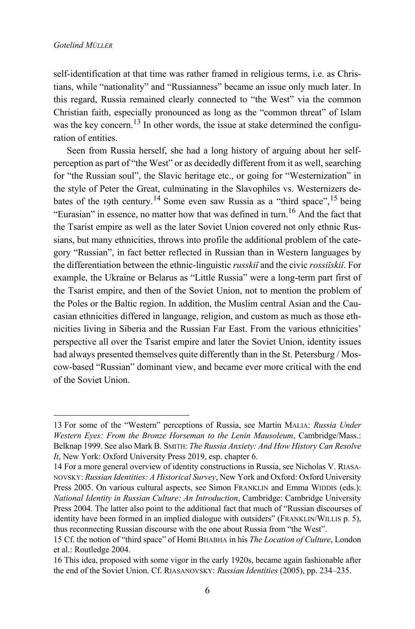self-identification at that time was rather framed in religious terms, i.e. as Christians, while "nationality" and "Russianness" became an issue only much later. In this regard, Russia remained clearly connected to "the West" via the common Christian faith, especially pronounced as long as the "common threat" of Islam was the key concern.<sup>13</sup> In other words, the issue at stake determined the configuration of entities.

Seen from Russia herself, she had a long history of arguing about her selfperception as part of "the West" or as decidedly different from it as well, searching for "the Russian soul", the Slavic heritage etc., or going for "Westernization" in the style of Peter the Great, culminating in the Slavophiles vs. Westernizers debates of the 19th century.<sup>14</sup> Some even saw Russia as a "third space",<sup>15</sup> being "Eurasian" in essence, no matter how that was defined in turn.16 And the fact that the Tsarist empire as well as the later Soviet Union covered not only ethnic Russians, but many ethnicities, throws into profile the additional problem of the category "Russian", in fact better reflected in Russian than in Western languages by the differentiation between the ethnic-linguistic *russkiĭ* and the civic *rossiĭskiĭ*. For example, the Ukraine or Belarus as "Little Russia" were a long-term part first of the Tsarist empire, and then of the Soviet Union, not to mention the problem of the Poles or the Baltic region. In addition, the Muslim central Asian and the Caucasian ethnicities differed in language, religion, and custom as much as those ethnicities living in Siberia and the Russian Far East. From the various ethnicities' perspective all over the Tsarist empire and later the Soviet Union, identity issues had always presented themselves quite differently than in the St. Petersburg / Moscow-based "Russian" dominant view, and became ever more critical with the end of the Soviet Union.

<sup>13</sup> For some of the "Western" perceptions of Russia, see Martin MALIA: *Russia Under Western Eyes: From the Bronze Horseman to the Lenin Mausoleum*, Cambridge/Mass.: Belknap 1999. See also Mark B. SMITH: *The Russia Anxiety: And How History Can Resolve It*, New York: Oxford University Press 2019, esp. chapter 6.

<sup>14</sup> For a more general overview of identity constructions in Russia, see Nicholas V. RIASA-NOVSKY: *Russian Identities: A Historical Survey*, New York and Oxford: Oxford University Press 2005. On various cultural aspects, see Simon FRANKLIN and Emma WIDDIS (eds.): *National Identity in Russian Culture: An Introduction*, Cambridge: Cambridge University Press 2004. The latter also point to the additional fact that much of "Russian discourses of identity have been formed in an implied dialogue with outsiders" (FRANKLIN/WILLIS p. 5), thus reconnecting Russian discourse with the one about Russia from "the West".

<sup>15</sup> Cf. the notion of "third space" of Homi BHABHA in his *The Location of Culture*, London et al.: Routledge 2004.

<sup>16</sup> This idea, proposed with some vigor in the early 1920s, became again fashionable after the end of the Soviet Union. Cf. RIASANOVSKY: *Russian Identities* (2005), pp. 234–235.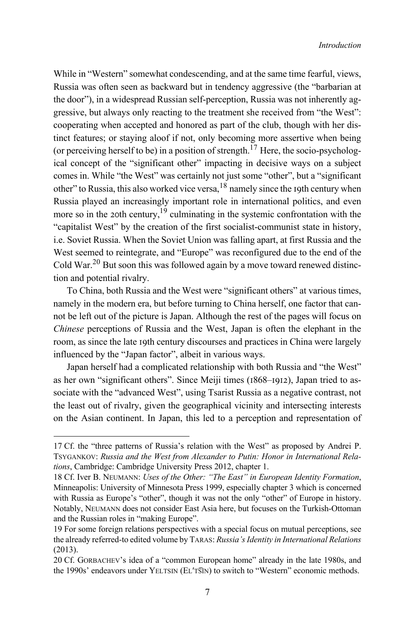While in "Western" somewhat condescending, and at the same time fearful, views, Russia was often seen as backward but in tendency aggressive (the "barbarian at the door"), in a widespread Russian self-perception, Russia was not inherently aggressive, but always only reacting to the treatment she received from "the West": cooperating when accepted and honored as part of the club, though with her distinct features; or staying aloof if not, only becoming more assertive when being (or perceiving herself to be) in a position of strength.<sup>17</sup> Here, the socio-psychological concept of the "significant other" impacting in decisive ways on a subject comes in. While "the West" was certainly not just some "other", but a "significant other" to Russia, this also worked vice versa,  $18$  namely since the 19th century when Russia played an increasingly important role in international politics, and even more so in the 20th century,<sup>19</sup> culminating in the systemic confrontation with the "capitalist West" by the creation of the first socialist-communist state in history, i.e. Soviet Russia. When the Soviet Union was falling apart, at first Russia and the West seemed to reintegrate, and "Europe" was reconfigured due to the end of the Cold War.<sup>20</sup> But soon this was followed again by a move toward renewed distinction and potential rivalry.

To China, both Russia and the West were "significant others" at various times, namely in the modern era, but before turning to China herself, one factor that cannot be left out of the picture is Japan. Although the rest of the pages will focus on *Chinese* perceptions of Russia and the West, Japan is often the elephant in the room, as since the late 19th century discourses and practices in China were largely influenced by the "Japan factor", albeit in various ways.

Japan herself had a complicated relationship with both Russia and "the West" as her own "significant others". Since Meiji times (1868–1912), Japan tried to associate with the "advanced West", using Tsarist Russia as a negative contrast, not the least out of rivalry, given the geographical vicinity and intersecting interests on the Asian continent. In Japan, this led to a perception and representation of

<sup>17</sup> Cf. the "three patterns of Russia's relation with the West" as proposed by Andrei P. TSYGANKOV: *Russia and the West from Alexander to Putin: Honor in International Relations*, Cambridge: Cambridge University Press 2012, chapter 1.

<sup>18</sup> Cf. Iver B. NEUMANN: *Uses of the Other: "The East" in European Identity Formation*, Minneapolis: University of Minnesota Press 1999, especially chapter 3 which is concerned with Russia as Europe's "other", though it was not the only "other" of Europe in history. Notably, NEUMANN does not consider East Asia here, but focuses on the Turkish-Ottoman and the Russian roles in "making Europe".

<sup>19</sup> For some foreign relations perspectives with a special focus on mutual perceptions, see the already referred-to edited volume by TARAS: *Russia's Identity in International Relations* (2013).

<sup>20</sup> Cf. GORBACHEV's idea of a "common European home" already in the late 1980s, and the 1990s' endeavors under YELTSIN (ELʹT͡SIN) to switch to "Western" economic methods.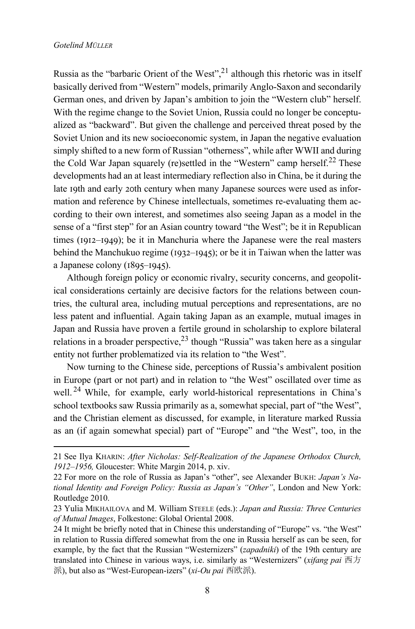Russia as the "barbaric Orient of the West",  $^{21}$  although this rhetoric was in itself basically derived from "Western" models, primarily Anglo-Saxon and secondarily German ones, and driven by Japan's ambition to join the "Western club" herself. With the regime change to the Soviet Union, Russia could no longer be conceptualized as "backward". But given the challenge and perceived threat posed by the Soviet Union and its new socioeconomic system, in Japan the negative evaluation simply shifted to a new form of Russian "otherness", while after WWII and during the Cold War Japan squarely (re)settled in the "Western" camp herself.<sup>22</sup> These developments had an at least intermediary reflection also in China, be it during the late 19th and early 20th century when many Japanese sources were used as information and reference by Chinese intellectuals, sometimes re-evaluating them according to their own interest, and sometimes also seeing Japan as a model in the sense of a "first step" for an Asian country toward "the West"; be it in Republican times ( $1912-1949$ ); be it in Manchuria where the Japanese were the real masters behind the Manchukuo regime (1932–1945); or be it in Taiwan when the latter was a Japanese colony  $(1895-1945)$ .

Although foreign policy or economic rivalry, security concerns, and geopolitical considerations certainly are decisive factors for the relations between countries, the cultural area, including mutual perceptions and representations, are no less patent and influential. Again taking Japan as an example, mutual images in Japan and Russia have proven a fertile ground in scholarship to explore bilateral relations in a broader perspective,  $2^3$  though "Russia" was taken here as a singular entity not further problematized via its relation to "the West".

Now turning to the Chinese side, perceptions of Russia's ambivalent position in Europe (part or not part) and in relation to "the West" oscillated over time as well.<sup>24</sup> While, for example, early world-historical representations in China's school textbooks saw Russia primarily as a, somewhat special, part of "the West", and the Christian element as discussed, for example, in literature marked Russia as an (if again somewhat special) part of "Europe" and "the West", too, in the

<sup>21</sup> See Ilya KHARIN: *After Nicholas: Self-Realization of the Japanese Orthodox Church, 1912*–*1956,* Gloucester: White Margin 2014, p. xiv.

<sup>22</sup> For more on the role of Russia as Japan's "other", see Alexander BUKH: *Japan's National Identity and Foreign Policy: Russia as Japan's "Other"*, London and New York: Routledge 2010.

<sup>23</sup> Yulia MIKHAILOVA and M. William STEELE (eds.): *Japan and Russia: Three Centuries of Mutual Images*, Folkestone: Global Oriental 2008.

<sup>24</sup> It might be briefly noted that in Chinese this understanding of "Europe" vs. "the West" in relation to Russia differed somewhat from the one in Russia herself as can be seen, for example, by the fact that the Russian "Westernizers" (*zapadniki*) of the 19th century are translated into Chinese in various ways, i.e. similarly as "Westernizers" (*xifang pai* 西方 派), but also as "West-European-izers" (*xi-Ou pai* 西欧派).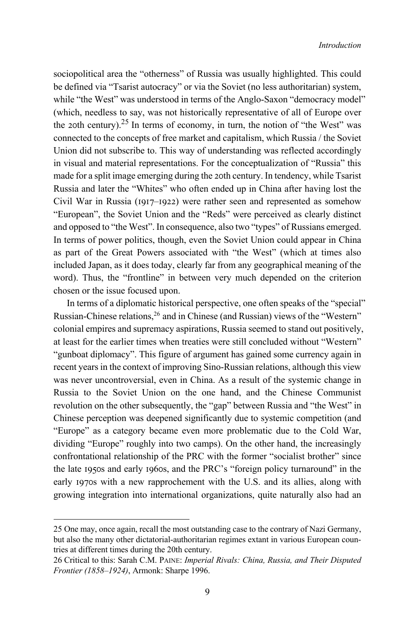sociopolitical area the "otherness" of Russia was usually highlighted. This could be defined via "Tsarist autocracy" or via the Soviet (no less authoritarian) system, while "the West" was understood in terms of the Anglo-Saxon "democracy model" (which, needless to say, was not historically representative of all of Europe over the 20th century).<sup>25</sup> In terms of economy, in turn, the notion of "the West" was connected to the concepts of free market and capitalism, which Russia / the Soviet Union did not subscribe to. This way of understanding was reflected accordingly in visual and material representations. For the conceptualization of "Russia" this made for a split image emerging during the 20th century. In tendency, while Tsarist Russia and later the "Whites" who often ended up in China after having lost the Civil War in Russia (1917–1922) were rather seen and represented as somehow "European", the Soviet Union and the "Reds" were perceived as clearly distinct and opposed to "the West". In consequence, also two "types" of Russians emerged. In terms of power politics, though, even the Soviet Union could appear in China as part of the Great Powers associated with "the West" (which at times also included Japan, as it does today, clearly far from any geographical meaning of the word). Thus, the "frontline" in between very much depended on the criterion chosen or the issue focused upon.

In terms of a diplomatic historical perspective, one often speaks of the "special" Russian-Chinese relations, <sup>26</sup> and in Chinese (and Russian) views of the "Western" colonial empires and supremacy aspirations, Russia seemed to stand out positively, at least for the earlier times when treaties were still concluded without "Western" "gunboat diplomacy". This figure of argument has gained some currency again in recent years in the context of improving Sino-Russian relations, although this view was never uncontroversial, even in China. As a result of the systemic change in Russia to the Soviet Union on the one hand, and the Chinese Communist revolution on the other subsequently, the "gap" between Russia and "the West" in Chinese perception was deepened significantly due to systemic competition (and "Europe" as a category became even more problematic due to the Cold War, dividing "Europe" roughly into two camps). On the other hand, the increasingly confrontational relationship of the PRC with the former "socialist brother" since the late  $I_950s$  and early  $I_960s$ , and the PRC's "foreign policy turnaround" in the early 1970s with a new rapprochement with the U.S. and its allies, along with growing integration into international organizations, quite naturally also had an

<sup>25</sup> One may, once again, recall the most outstanding case to the contrary of Nazi Germany, but also the many other dictatorial-authoritarian regimes extant in various European countries at different times during the 20th century.

<sup>26</sup> Critical to this: Sarah C.M. PAINE: *Imperial Rivals: China, Russia, and Their Disputed Frontier (1858*–*1924)*, Armonk: Sharpe 1996.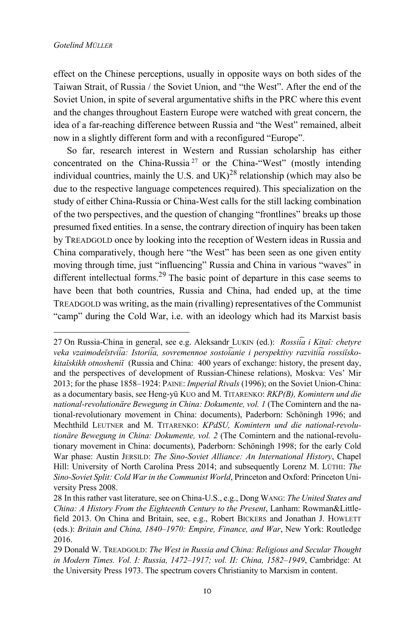effect on the Chinese perceptions, usually in opposite ways on both sides of the Taiwan Strait, of Russia / the Soviet Union, and "the West". After the end of the Soviet Union, in spite of several argumentative shifts in the PRC where this event and the changes throughout Eastern Europe were watched with great concern, the idea of a far-reaching difference between Russia and "the West" remained, albeit now in a slightly different form and with a reconfigured "Europe".

So far, research interest in Western and Russian scholarship has either concentrated on the China-Russia<sup>27</sup> or the China-"West" (mostly intending individual countries, mainly the U.S. and  $UK<sup>28</sup>$  relationship (which may also be due to the respective language competences required). This specialization on the study of either China-Russia or China-West calls for the still lacking combination of the two perspectives, and the question of changing "frontlines" breaks up those presumed fixed entities. In a sense, the contrary direction of inquiry has been taken by TREADGOLD once by looking into the reception of Western ideas in Russia and China comparatively, though here "the West" has been seen as one given entity moving through time, just "influencing" Russia and China in various "waves" in different intellectual forms.<sup>29</sup> The basic point of departure in this case seems to have been that both countries, Russia and China, had ended up, at the time TREADGOLD was writing, as the main (rivalling) representatives of the Communist "camp" during the Cold War, i.e. with an ideology which had its Marxist basis

<sup>27</sup> On Russia-China in general, see e.g. Aleksandr LUKIN (ed.): *Rossii͡a i Kitaĭ: chetyre veka vzaimodeĭstvii͡a: Istorii͡a, sovremennoe sostoi͡anie i perspektivy razvitii͡a rossiĭskokitaĭskikh otnosheniĭ* (Russia and China: 400 years of exchange: history, the present day, and the perspectives of development of Russian-Chinese relations), Moskva: Ves' Mir 2013; for the phase 1858–1924: PAINE: *Imperial Rivals* (1996); on the Soviet Union-China: as a documentary basis, see Heng-yü KUO and M. TITARENKO: *RKP(B), Komintern und die national-revolutionäre Bewegung in China: Dokumente, vol. 1* (The Comintern and the national-revolutionary movement in China: documents), Paderborn: Schöningh 1996; and Mechthild LEUTNER and M. TITARENKO: *KPdSU, Komintern und die national-revolutionäre Bewegung in China: Dokumente, vol. 2* (The Comintern and the national-revolutionary movement in China: documents), Paderborn: Schöningh 1998; for the early Cold War phase: Austin JERSILD: *The Sino-Soviet Alliance: An International History*, Chapel Hill: University of North Carolina Press 2014; and subsequently Lorenz M. LÜTHI: *The Sino-Soviet Split: Cold War in the Communist World*, Princeton and Oxford: Princeton University Press 2008.

<sup>28</sup> In this rather vast literature, see on China-U.S., e.g., Dong WANG: *The United States and China: A History From the Eighteenth Century to the Present*, Lanham: Rowman&Littlefield 2013. On China and Britain, see, e.g., Robert BICKERS and Jonathan J. HOWLETT (eds.): *Britain and China, 1840*–*1970: Empire, Finance, and War*, New York: Routledge 2016.

<sup>29</sup> Donald W. TREADGOLD: *The West in Russia and China: Religious and Secular Thought in Modern Times. Vol. I: Russia, 1472*–*1917; vol. II: China, 1582*–*1949*, Cambridge: At the University Press 1973. The spectrum covers Christianity to Marxism in content.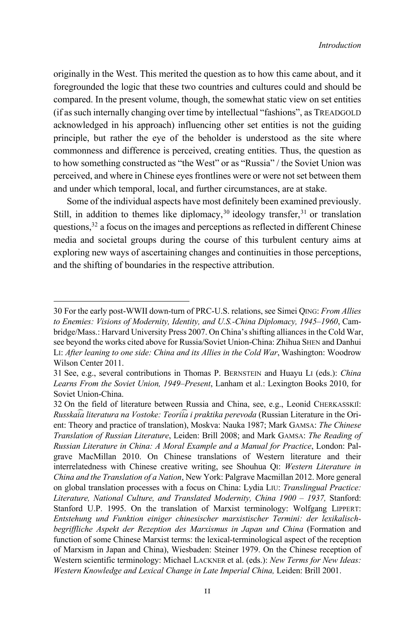originally in the West. This merited the question as to how this came about, and it foregrounded the logic that these two countries and cultures could and should be compared. In the present volume, though, the somewhat static view on set entities (if as such internally changing over time by intellectual "fashions", as TREADGOLD acknowledged in his approach) influencing other set entities is not the guiding principle, but rather the eye of the beholder is understood as the site where commonness and difference is perceived, creating entities. Thus, the question as to how something constructed as "the West" or as "Russia" / the Soviet Union was perceived, and where in Chinese eyes frontlines were or were not set between them and under which temporal, local, and further circumstances, are at stake.

Some of the individual aspects have most definitely been examined previously. Still, in addition to themes like diplomacy,  $30$  ideology transfer,  $31$  or translation questions,32 a focus on the images and perceptions as reflected in different Chinese media and societal groups during the course of this turbulent century aims at exploring new ways of ascertaining changes and continuities in those perceptions, and the shifting of boundaries in the respective attribution.

<sup>30</sup> For the early post-WWII down-turn of PRC-U.S. relations, see Simei QING: *From Allies*  to Enemies: Visions of Modernity, Identity, and U.S.-China Diplomacy, 1945–1960, Cambridge/Mass.: Harvard University Press 2007. On China's shifting alliances in the Cold War, see beyond the works cited above for Russia/Soviet Union-China: Zhihua SHEN and Danhui LI: *After leaning to one side: China and its Allies in the Cold War*, Washington: Woodrow Wilson Center 2011.

<sup>31</sup> See, e.g., several contributions in Thomas P. BERNSTEIN and Huayu LI (eds.): *China Learns From the Soviet Union, 1949–Present*, Lanham et al.: Lexington Books 2010, for Soviet Union-China.

<sup>32</sup> On the field of literature between Russia and China, see, e.g., Leonid CHERKASSKIĬ: *Russkai͡a literatura na Vostoke: Teorii͡a i praktika perevoda* (Russian Literature in the Orient: Theory and practice of translation), Мoskva: Nauka 1987; Mark GAMSA: *The Chinese Translation of Russian Literature*, Leiden: Brill 2008; and Mark GAMSA: *The Reading of Russian Literature in China: A Moral Example and a Manual for Practice*, London: Palgrave MacMillan 2010. On Chinese translations of Western literature and their interrelatedness with Chinese creative writing, see Shouhua QI: *Western Literature in China and the Translation of a Nation*, New York: Palgrave Macmillan 2012. More general on global translation processes with a focus on China: Lydia LIU: *Translingual Practice: Literature, National Culture, and Translated Modernity, China 1900 – 1937,* Stanford: Stanford U.P. 1995. On the translation of Marxist terminology: Wolfgang LIPPERT: *Entstehung und Funktion einiger chinesischer marxistischer Termini: der lexikalischbegriffliche Aspekt der Rezeption des Marxismus in Japan und China* (Formation and function of some Chinese Marxist terms: the lexical-terminological aspect of the reception of Marxism in Japan and China), Wiesbaden: Steiner 1979. On the Chinese reception of Western scientific terminology: Michael LACKNER et al. (eds.): *New Terms for New Ideas: Western Knowledge and Lexical Change in Late Imperial China,* Leiden: Brill 2001.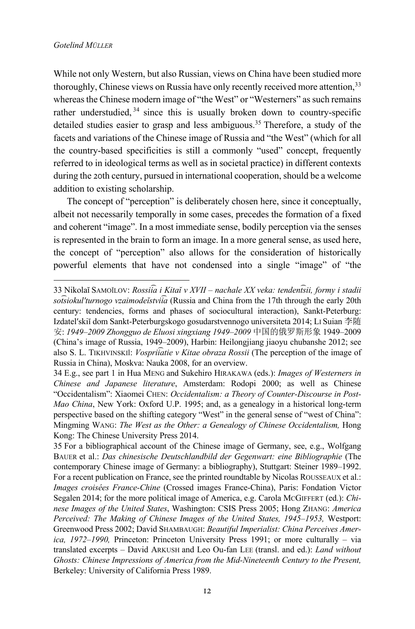While not only Western, but also Russian, views on China have been studied more thoroughly, Chinese views on Russia have only recently received more attention, 33 whereas the Chinese modern image of "the West" or "Westerners" as such remains rather understudied,  $34$  since this is usually broken down to country-specific detailed studies easier to grasp and less ambiguous.<sup>35</sup> Therefore, a study of the facets and variations of the Chinese image of Russia and "the West" (which for all the country-based specificities is still a commonly "used" concept, frequently referred to in ideological terms as well as in societal practice) in different contexts during the 20th century, pursued in international cooperation, should be a welcome addition to existing scholarship.

The concept of "perception" is deliberately chosen here, since it conceptually, albeit not necessarily temporally in some cases, precedes the formation of a fixed and coherent "image". In a most immediate sense, bodily perception via the senses is represented in the brain to form an image. In a more general sense, as used here, the concept of "perception" also allows for the consideration of historically powerful elements that have not condensed into a single "image" of "the

<sup>33</sup> Nikolaĭ SAMOĬLOV: *Rossii͡a i Kitaĭ v XVII – nachale XX veka: tendent͡sii, formy i stadii sot͡siokulʹturnogo vzaimodeĭstvii͡a* (Russia and China from the 17th through the early 20th century: tendencies, forms and phases of sociocultural interaction), Sankt-Peterburg: Izdatelʹskiĭ dom Sankt-Peterburgskogo gosudarstvennogo universiteta 2014; LI Suian 李随 安: *1949*–*2009 Zhongguo de Eluosi xingxiang 1949*–*2009* 中国的俄罗斯形象 1949–2009 (China's image of Russia, 1949–2009), Harbin: Heilongjiang jiaoyu chubanshe 2012; see also S. L. TIKHVINSKIĬ: *Vosprii͡atie v Kitae obraza Rossii* (The perception of the image of Russia in China), Moskva: Nauka 2008, for an overview.

<sup>34</sup> E.g., see part 1 in Hua MENG and Sukehiro HIRAKAWA (eds.): *Images of Westerners in Chinese and Japanese literature*, Amsterdam: Rodopi 2000; as well as Chinese "Occidentalism": Xiaomei CHEN: *Occidentalism: a Theory of Counter-Discourse in Post-Mao China*, New York: Oxford U.P. 1995; and, as a genealogy in a historical long-term perspective based on the shifting category "West" in the general sense of "west of China": Mingming WANG: *The West as the Other: a Genealogy of Chinese Occidentalism,* Hong Kong: The Chinese University Press 2014.

<sup>35</sup> For a bibliographical account of the Chinese image of Germany, see, e.g., Wolfgang BAUER et al.: *Das chinesische Deutschlandbild der Gegenwart: eine Bibliographie* (The contemporary Chinese image of Germany: a bibliography), Stuttgart: Steiner 1989–1992. For a recent publication on France, see the printed roundtable by Nicolas ROUSSEAUX et al.: *Images croisées France-Chine* (Crossed images France-China), Paris: Fondation Victor Segalen 2014; for the more political image of America, e.g. Carola MCGIFFERT (ed.): *Chinese Images of the United States*, Washington: CSIS Press 2005; Hong ZHANG: *America Perceived: The Making of Chinese Images of the United States, 1945*–*1953,* Westport: Greenwood Press 2002; David SHAMBAUGH: *Beautiful Imperialist: China Perceives America, 1972*–*1990,* Princeton: Princeton University Press 1991; or more culturally – via translated excerpts – David ARKUSH and Leo Ou-fan LEE (transl. and ed.): *Land without Ghosts: Chinese Impressions of America from the Mid-Nineteenth Century to the Present,* Berkeley: University of California Press 1989.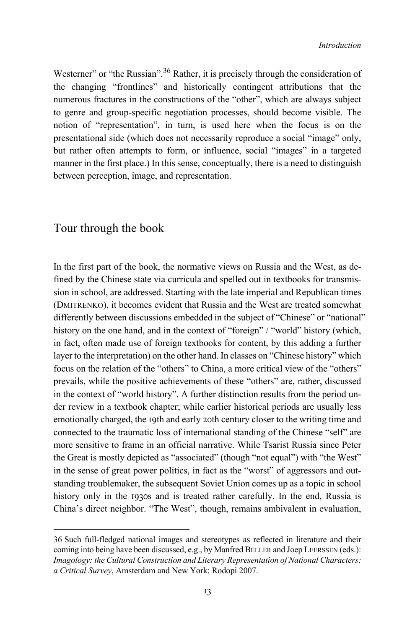Westerner" or "the Russian".<sup>36</sup> Rather, it is precisely through the consideration of the changing "frontlines" and historically contingent attributions that the numerous fractures in the constructions of the "other", which are always subject to genre and group-specific negotiation processes, should become visible. The notion of "representation", in turn, is used here when the focus is on the presentational side (which does not necessarily reproduce a social "image" only, but rather often attempts to form, or influence, social "images" in a targeted manner in the first place.) In this sense, conceptually, there is a need to distinguish between perception, image, and representation.

## Tour through the book

In the first part of the book, the normative views on Russia and the West, as defined by the Chinese state via curricula and spelled out in textbooks for transmission in school, are addressed. Starting with the late imperial and Republican times (DMITRENKO), it becomes evident that Russia and the West are treated somewhat differently between discussions embedded in the subject of "Chinese" or "national" history on the one hand, and in the context of "foreign" / "world" history (which, in fact, often made use of foreign textbooks for content, by this adding a further layer to the interpretation) on the other hand. In classes on "Chinese history" which focus on the relation of the "others" to China, a more critical view of the "others" prevails, while the positive achievements of these "others" are, rather, discussed in the context of "world history". A further distinction results from the period under review in a textbook chapter; while earlier historical periods are usually less emotionally charged, the 19th and early 20th century closer to the writing time and connected to the traumatic loss of international standing of the Chinese "self" are more sensitive to frame in an official narrative. While Tsarist Russia since Peter the Great is mostly depicted as "associated" (though "not equal") with "the West" in the sense of great power politics, in fact as the "worst" of aggressors and outstanding troublemaker, the subsequent Soviet Union comes up as a topic in school history only in the 1930s and is treated rather carefully. In the end, Russia is China's direct neighbor. "The West", though, remains ambivalent in evaluation,

<sup>36</sup> Such full-fledged national images and stereotypes as reflected in literature and their coming into being have been discussed, e.g., by Manfred BELLER and Joep LEERSSEN (eds.): *Imagology: the Cultural Construction and Literary Representation of National Characters; a Critical Survey*, Amsterdam and New York: Rodopi 2007.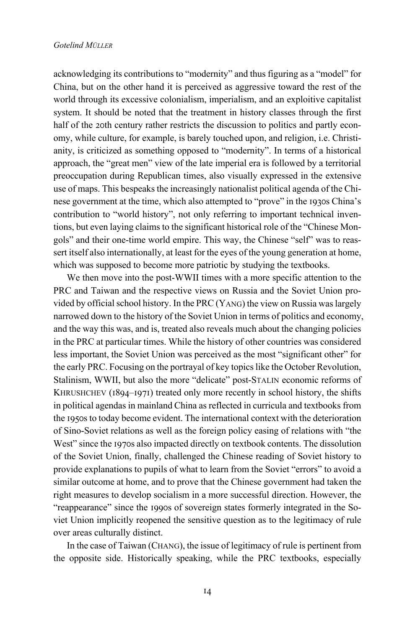acknowledging its contributions to "modernity" and thus figuring as a "model" for China, but on the other hand it is perceived as aggressive toward the rest of the world through its excessive colonialism, imperialism, and an exploitive capitalist system. It should be noted that the treatment in history classes through the first half of the 20th century rather restricts the discussion to politics and partly economy, while culture, for example, is barely touched upon, and religion, i.e. Christianity, is criticized as something opposed to "modernity". In terms of a historical approach, the "great men" view of the late imperial era is followed by a territorial preoccupation during Republican times, also visually expressed in the extensive use of maps. This bespeaks the increasingly nationalist political agenda of the Chinese government at the time, which also attempted to "prove" in the 1930s China's contribution to "world history", not only referring to important technical inventions, but even laying claims to the significant historical role of the "Chinese Mongols" and their one-time world empire. This way, the Chinese "self" was to reassert itself also internationally, at least for the eyes of the young generation at home, which was supposed to become more patriotic by studying the textbooks.

We then move into the post-WWII times with a more specific attention to the PRC and Taiwan and the respective views on Russia and the Soviet Union provided by official school history. In the PRC (YANG) the view on Russia was largely narrowed down to the history of the Soviet Union in terms of politics and economy, and the way this was, and is, treated also reveals much about the changing policies in the PRC at particular times. While the history of other countries was considered less important, the Soviet Union was perceived as the most "significant other" for the early PRC. Focusing on the portrayal of key topics like the October Revolution, Stalinism, WWII, but also the more "delicate" post-STALIN economic reforms of KHRUSHCHEV ( $1894-1971$ ) treated only more recently in school history, the shifts in political agendas in mainland China as reflected in curricula and textbooks from the 1950s to today become evident. The international context with the deterioration of Sino-Soviet relations as well as the foreign policy easing of relations with "the West" since the 1970s also impacted directly on textbook contents. The dissolution of the Soviet Union, finally, challenged the Chinese reading of Soviet history to provide explanations to pupils of what to learn from the Soviet "errors" to avoid a similar outcome at home, and to prove that the Chinese government had taken the right measures to develop socialism in a more successful direction. However, the "reappearance" since the 1990s of sovereign states formerly integrated in the Soviet Union implicitly reopened the sensitive question as to the legitimacy of rule over areas culturally distinct.

In the case of Taiwan (CHANG), the issue of legitimacy of rule is pertinent from the opposite side. Historically speaking, while the PRC textbooks, especially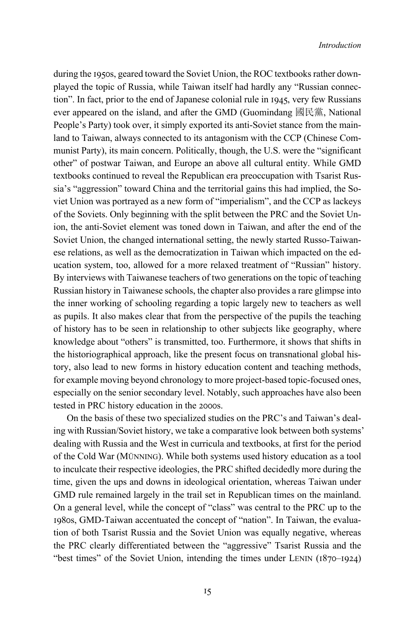during the 1950s, geared toward the Soviet Union, the ROC textbooks rather downplayed the topic of Russia, while Taiwan itself had hardly any "Russian connection". In fact, prior to the end of Japanese colonial rule in  $1945$ , very few Russians ever appeared on the island, and after the GMD (Guomindang 國民黨, National People's Party) took over, it simply exported its anti-Soviet stance from the mainland to Taiwan, always connected to its antagonism with the CCP (Chinese Communist Party), its main concern. Politically, though, the U.S. were the "significant other" of postwar Taiwan, and Europe an above all cultural entity. While GMD textbooks continued to reveal the Republican era preoccupation with Tsarist Russia's "aggression" toward China and the territorial gains this had implied, the Soviet Union was portrayed as a new form of "imperialism", and the CCP as lackeys of the Soviets. Only beginning with the split between the PRC and the Soviet Union, the anti-Soviet element was toned down in Taiwan, and after the end of the Soviet Union, the changed international setting, the newly started Russo-Taiwanese relations, as well as the democratization in Taiwan which impacted on the education system, too, allowed for a more relaxed treatment of "Russian" history. By interviews with Taiwanese teachers of two generations on the topic of teaching Russian history in Taiwanese schools, the chapter also provides a rare glimpse into the inner working of schooling regarding a topic largely new to teachers as well as pupils. It also makes clear that from the perspective of the pupils the teaching of history has to be seen in relationship to other subjects like geography, where knowledge about "others" is transmitted, too. Furthermore, it shows that shifts in the historiographical approach, like the present focus on transnational global history, also lead to new forms in history education content and teaching methods, for example moving beyond chronology to more project-based topic-focused ones, especially on the senior secondary level. Notably, such approaches have also been tested in PRC history education in the 2000s.

On the basis of these two specialized studies on the PRC's and Taiwan's dealing with Russian/Soviet history, we take a comparative look between both systems' dealing with Russia and the West in curricula and textbooks, at first for the period of the Cold War (MÜNNING). While both systems used history education as a tool to inculcate their respective ideologies, the PRC shifted decidedly more during the time, given the ups and downs in ideological orientation, whereas Taiwan under GMD rule remained largely in the trail set in Republican times on the mainland. On a general level, while the concept of "class" was central to the PRC up to the 1980s, GMD-Taiwan accentuated the concept of "nation". In Taiwan, the evaluation of both Tsarist Russia and the Soviet Union was equally negative, whereas the PRC clearly differentiated between the "aggressive" Tsarist Russia and the "best times" of the Soviet Union, intending the times under LENIN  $(1870-1924)$ 

 $15$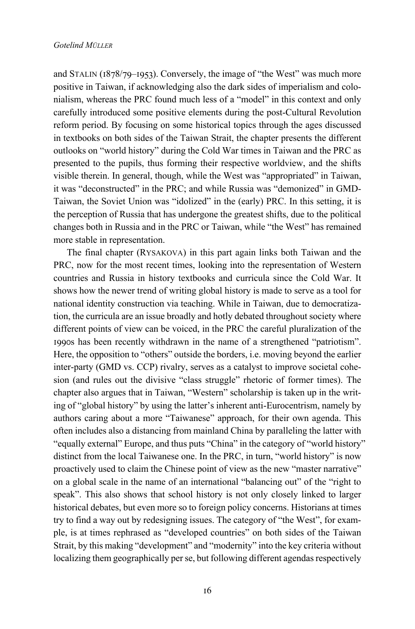and STALIN  $(1878/79-1953)$ . Conversely, the image of "the West" was much more positive in Taiwan, if acknowledging also the dark sides of imperialism and colonialism, whereas the PRC found much less of a "model" in this context and only carefully introduced some positive elements during the post-Cultural Revolution reform period. By focusing on some historical topics through the ages discussed in textbooks on both sides of the Taiwan Strait, the chapter presents the different outlooks on "world history" during the Cold War times in Taiwan and the PRC as presented to the pupils, thus forming their respective worldview, and the shifts visible therein. In general, though, while the West was "appropriated" in Taiwan, it was "deconstructed" in the PRC; and while Russia was "demonized" in GMD-Taiwan, the Soviet Union was "idolized" in the (early) PRC. In this setting, it is the perception of Russia that has undergone the greatest shifts, due to the political changes both in Russia and in the PRC or Taiwan, while "the West" has remained more stable in representation.

The final chapter (RYSAKOVA) in this part again links both Taiwan and the PRC, now for the most recent times, looking into the representation of Western countries and Russia in history textbooks and curricula since the Cold War. It shows how the newer trend of writing global history is made to serve as a tool for national identity construction via teaching. While in Taiwan, due to democratization, the curricula are an issue broadly and hotly debated throughout society where different points of view can be voiced, in the PRC the careful pluralization of the 1990s has been recently withdrawn in the name of a strengthened "patriotism". Here, the opposition to "others" outside the borders, i.e. moving beyond the earlier inter-party (GMD vs. CCP) rivalry, serves as a catalyst to improve societal cohesion (and rules out the divisive "class struggle" rhetoric of former times). The chapter also argues that in Taiwan, "Western" scholarship is taken up in the writing of "global history" by using the latter's inherent anti-Eurocentrism, namely by authors caring about a more "Taiwanese" approach, for their own agenda. This often includes also a distancing from mainland China by paralleling the latter with "equally external" Europe, and thus puts "China" in the category of "world history" distinct from the local Taiwanese one. In the PRC, in turn, "world history" is now proactively used to claim the Chinese point of view as the new "master narrative" on a global scale in the name of an international "balancing out" of the "right to speak". This also shows that school history is not only closely linked to larger historical debates, but even more so to foreign policy concerns. Historians at times try to find a way out by redesigning issues. The category of "the West", for example, is at times rephrased as "developed countries" on both sides of the Taiwan Strait, by this making "development" and "modernity" into the key criteria without localizing them geographically per se, but following different agendas respectively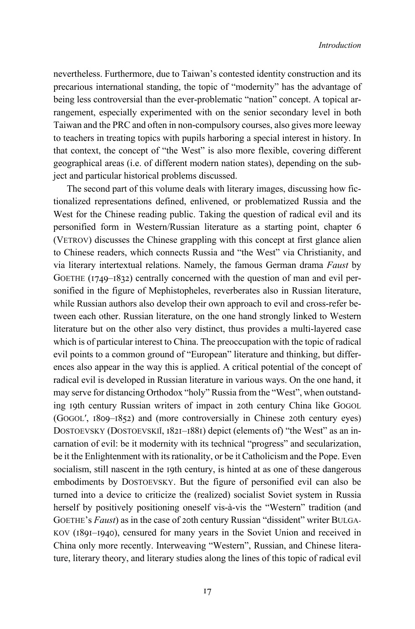nevertheless. Furthermore, due to Taiwan's contested identity construction and its precarious international standing, the topic of "modernity" has the advantage of being less controversial than the ever-problematic "nation" concept. A topical arrangement, especially experimented with on the senior secondary level in both Taiwan and the PRC and often in non-compulsory courses, also gives more leeway to teachers in treating topics with pupils harboring a special interest in history. In that context, the concept of "the West" is also more flexible, covering different geographical areas (i.e. of different modern nation states), depending on the subject and particular historical problems discussed.

The second part of this volume deals with literary images, discussing how fictionalized representations defined, enlivened, or problematized Russia and the West for the Chinese reading public. Taking the question of radical evil and its personified form in Western/Russian literature as a starting point, chapter  $6$ (VETROV) discusses the Chinese grappling with this concept at first glance alien to Chinese readers, which connects Russia and "the West" via Christianity, and via literary intertextual relations. Namely, the famous German drama *Faust* by GOETHE  $(1749-1832)$  centrally concerned with the question of man and evil personified in the figure of Mephistopheles, reverberates also in Russian literature, while Russian authors also develop their own approach to evil and cross-refer between each other. Russian literature, on the one hand strongly linked to Western literature but on the other also very distinct, thus provides a multi-layered case which is of particular interest to China. The preoccupation with the topic of radical evil points to a common ground of "European" literature and thinking, but differences also appear in the way this is applied. A critical potential of the concept of radical evil is developed in Russian literature in various ways. On the one hand, it may serve for distancing Orthodox "holy" Russia from the "West", when outstanding 19th century Russian writers of impact in 20th century China like GOGOL  $(GOGOL', 1809–1852)$  and (more controversially in Chinese 20th century eyes) DOSTOEVSKY (DOSTOEVSKII,  $182I-188I$ ) depict (elements of) "the West" as an incarnation of evil: be it modernity with its technical "progress" and secularization, be it the Enlightenment with its rationality, or be it Catholicism and the Pope. Even socialism, still nascent in the 19th century, is hinted at as one of these dangerous embodiments by DOSTOEVSKY. But the figure of personified evil can also be turned into a device to criticize the (realized) socialist Soviet system in Russia herself by positively positioning oneself vis-à-vis the "Western" tradition (and GOETHE's *Faust*) as in the case of 20th century Russian "dissident" writer BULGA-KOV (1891–1940), censured for many years in the Soviet Union and received in China only more recently. Interweaving "Western", Russian, and Chinese literature, literary theory, and literary studies along the lines of this topic of radical evil

 $I7$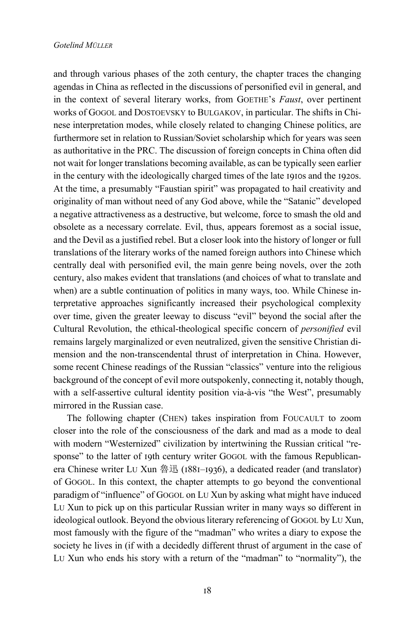and through various phases of the 20th century, the chapter traces the changing agendas in China as reflected in the discussions of personified evil in general, and in the context of several literary works, from GOETHE's *Faust*, over pertinent works of GOGOL and DOSTOEVSKY to BULGAKOV, in particular. The shifts in Chinese interpretation modes, while closely related to changing Chinese politics, are furthermore set in relation to Russian/Soviet scholarship which for years was seen as authoritative in the PRC. The discussion of foreign concepts in China often did not wait for longer translations becoming available, as can be typically seen earlier in the century with the ideologically charged times of the late 1910s and the 1920s. At the time, a presumably "Faustian spirit" was propagated to hail creativity and originality of man without need of any God above, while the "Satanic" developed a negative attractiveness as a destructive, but welcome, force to smash the old and obsolete as a necessary correlate. Evil, thus, appears foremost as a social issue, and the Devil as a justified rebel. But a closer look into the history of longer or full translations of the literary works of the named foreign authors into Chinese which centrally deal with personified evil, the main genre being novels, over the 20th century, also makes evident that translations (and choices of what to translate and when) are a subtle continuation of politics in many ways, too. While Chinese interpretative approaches significantly increased their psychological complexity over time, given the greater leeway to discuss "evil" beyond the social after the Cultural Revolution, the ethical-theological specific concern of *personified* evil remains largely marginalized or even neutralized, given the sensitive Christian dimension and the non-transcendental thrust of interpretation in China. However, some recent Chinese readings of the Russian "classics" venture into the religious background of the concept of evil more outspokenly, connecting it, notably though, with a self-assertive cultural identity position via-à-vis "the West", presumably mirrored in the Russian case.

The following chapter (CHEN) takes inspiration from FOUCAULT to zoom closer into the role of the consciousness of the dark and mad as a mode to deal with modern "Westernized" civilization by intertwining the Russian critical "response" to the latter of 19th century writer GOGOL with the famous Republicanera Chinese writer LU Xun 魯迅 ( $1881-1936$ ), a dedicated reader (and translator) of GOGOL. In this context, the chapter attempts to go beyond the conventional paradigm of "influence" of GOGOL on LU Xun by asking what might have induced LU Xun to pick up on this particular Russian writer in many ways so different in ideological outlook. Beyond the obvious literary referencing of GOGOL by LU Xun, most famously with the figure of the "madman" who writes a diary to expose the society he lives in (if with a decidedly different thrust of argument in the case of LU Xun who ends his story with a return of the "madman" to "normality"), the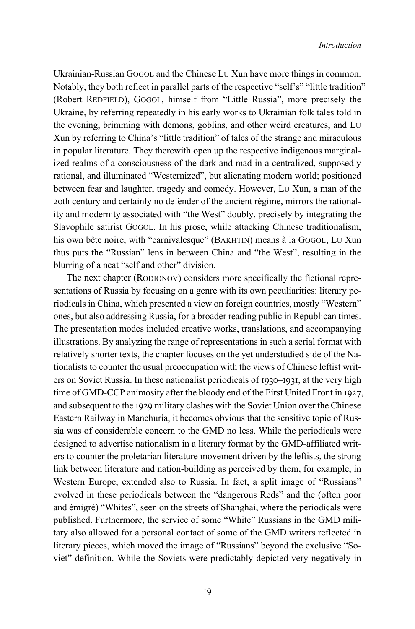Ukrainian-Russian GOGOL and the Chinese LU Xun have more things in common. Notably, they both reflect in parallel parts of the respective "self's" "little tradition" (Robert REDFIELD), GOGOL, himself from "Little Russia", more precisely the Ukraine, by referring repeatedly in his early works to Ukrainian folk tales told in the evening, brimming with demons, goblins, and other weird creatures, and LU Xun by referring to China's "little tradition" of tales of the strange and miraculous in popular literature. They therewith open up the respective indigenous marginalized realms of a consciousness of the dark and mad in a centralized, supposedly rational, and illuminated "Westernized", but alienating modern world; positioned between fear and laughter, tragedy and comedy. However, LU Xun, a man of the 20th century and certainly no defender of the ancient régime, mirrors the rationality and modernity associated with "the West" doubly, precisely by integrating the Slavophile satirist GOGOL. In his prose, while attacking Chinese traditionalism, his own bête noire, with "carnivalesque" (BAKHTIN) means à la GOGOL, LU Xun thus puts the "Russian" lens in between China and "the West", resulting in the blurring of a neat "self and other" division.

The next chapter (RODIONOV) considers more specifically the fictional representations of Russia by focusing on a genre with its own peculiarities: literary periodicals in China, which presented a view on foreign countries, mostly "Western" ones, but also addressing Russia, for a broader reading public in Republican times. The presentation modes included creative works, translations, and accompanying illustrations. By analyzing the range of representations in such a serial format with relatively shorter texts, the chapter focuses on the yet understudied side of the Nationalists to counter the usual preoccupation with the views of Chinese leftist writers on Soviet Russia. In these nationalist periodicals of 1930–1931, at the very high time of GMD-CCP animosity after the bloody end of the First United Front in 1927, and subsequent to the 1929 military clashes with the Soviet Union over the Chinese Eastern Railway in Manchuria, it becomes obvious that the sensitive topic of Russia was of considerable concern to the GMD no less. While the periodicals were designed to advertise nationalism in a literary format by the GMD-affiliated writers to counter the proletarian literature movement driven by the leftists, the strong link between literature and nation-building as perceived by them, for example, in Western Europe, extended also to Russia. In fact, a split image of "Russians" evolved in these periodicals between the "dangerous Reds" and the (often poor and émigré) "Whites", seen on the streets of Shanghai, where the periodicals were published. Furthermore, the service of some "White" Russians in the GMD military also allowed for a personal contact of some of the GMD writers reflected in literary pieces, which moved the image of "Russians" beyond the exclusive "Soviet" definition. While the Soviets were predictably depicted very negatively in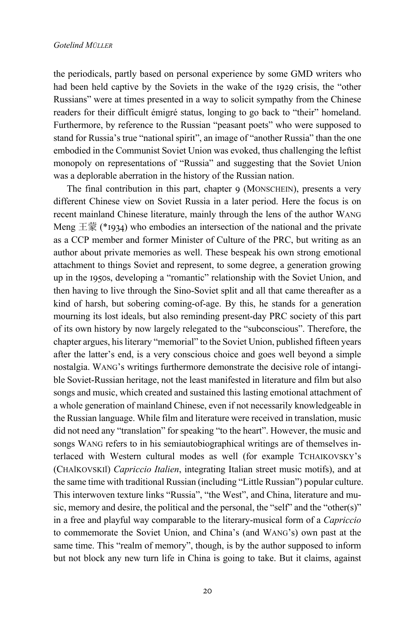the periodicals, partly based on personal experience by some GMD writers who had been held captive by the Soviets in the wake of the 1929 crisis, the "other Russians" were at times presented in a way to solicit sympathy from the Chinese readers for their difficult émigré status, longing to go back to "their" homeland. Furthermore, by reference to the Russian "peasant poets" who were supposed to stand for Russia's true "national spirit", an image of "another Russia" than the one embodied in the Communist Soviet Union was evoked, thus challenging the leftist monopoly on representations of "Russia" and suggesting that the Soviet Union was a deplorable aberration in the history of the Russian nation.

The final contribution in this part, chapter 9 (MONSCHEIN), presents a very different Chinese view on Soviet Russia in a later period. Here the focus is on recent mainland Chinese literature, mainly through the lens of the author WANG Meng  $\pm \frac{2}{3}$  (\*1934) who embodies an intersection of the national and the private as a CCP member and former Minister of Culture of the PRC, but writing as an author about private memories as well. These bespeak his own strong emotional attachment to things Soviet and represent, to some degree, a generation growing up in the 1950s, developing a "romantic" relationship with the Soviet Union, and then having to live through the Sino-Soviet split and all that came thereafter as a kind of harsh, but sobering coming-of-age. By this, he stands for a generation mourning its lost ideals, but also reminding present-day PRC society of this part of its own history by now largely relegated to the "subconscious". Therefore, the chapter argues, his literary "memorial" to the Soviet Union, published fifteen years after the latter's end, is a very conscious choice and goes well beyond a simple nostalgia. WANG's writings furthermore demonstrate the decisive role of intangible Soviet-Russian heritage, not the least manifested in literature and film but also songs and music, which created and sustained this lasting emotional attachment of a whole generation of mainland Chinese, even if not necessarily knowledgeable in the Russian language. While film and literature were received in translation, music did not need any "translation" for speaking "to the heart". However, the music and songs WANG refers to in his semiautobiographical writings are of themselves interlaced with Western cultural modes as well (for example TCHAIKOVSKY's (CHAĬKOVSKIĬ) *Capriccio Italien*, integrating Italian street music motifs), and at the same time with traditional Russian (including "Little Russian") popular culture. This interwoven texture links "Russia", "the West", and China, literature and music, memory and desire, the political and the personal, the "self" and the "other(s)" in a free and playful way comparable to the literary-musical form of a *Capriccio* to commemorate the Soviet Union, and China's (and WANG's) own past at the same time. This "realm of memory", though, is by the author supposed to inform but not block any new turn life in China is going to take. But it claims, against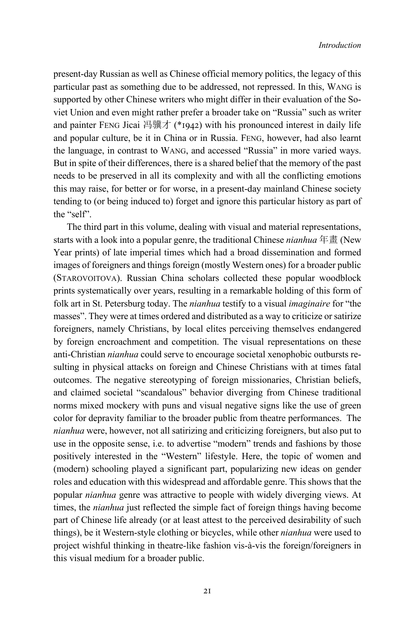present-day Russian as well as Chinese official memory politics, the legacy of this particular past as something due to be addressed, not repressed. In this, WANG is supported by other Chinese writers who might differ in their evaluation of the Soviet Union and even might rather prefer a broader take on "Russia" such as writer and painter FENG Jicai 冯骥才 (\*1942) with his pronounced interest in daily life and popular culture, be it in China or in Russia. FENG, however, had also learnt the language, in contrast to WANG, and accessed "Russia" in more varied ways. But in spite of their differences, there is a shared belief that the memory of the past needs to be preserved in all its complexity and with all the conflicting emotions this may raise, for better or for worse, in a present-day mainland Chinese society tending to (or being induced to) forget and ignore this particular history as part of the "self".

The third part in this volume, dealing with visual and material representations, starts with a look into a popular genre, the traditional Chinese *nianhua* 年畫 (New Year prints) of late imperial times which had a broad dissemination and formed images of foreigners and things foreign (mostly Western ones) for a broader public (STAROVOITOVA). Russian China scholars collected these popular woodblock prints systematically over years, resulting in a remarkable holding of this form of folk art in St. Petersburg today. The *nianhua* testify to a visual *imaginaire* for "the masses". They were at times ordered and distributed as a way to criticize or satirize foreigners, namely Christians, by local elites perceiving themselves endangered by foreign encroachment and competition. The visual representations on these anti-Christian *nianhua* could serve to encourage societal xenophobic outbursts resulting in physical attacks on foreign and Chinese Christians with at times fatal outcomes. The negative stereotyping of foreign missionaries, Christian beliefs, and claimed societal "scandalous" behavior diverging from Chinese traditional norms mixed mockery with puns and visual negative signs like the use of green color for depravity familiar to the broader public from theatre performances. The *nianhua* were, however, not all satirizing and criticizing foreigners, but also put to use in the opposite sense, i.e. to advertise "modern" trends and fashions by those positively interested in the "Western" lifestyle. Here, the topic of women and (modern) schooling played a significant part, popularizing new ideas on gender roles and education with this widespread and affordable genre. This shows that the popular *nianhua* genre was attractive to people with widely diverging views. At times, the *nianhua* just reflected the simple fact of foreign things having become part of Chinese life already (or at least attest to the perceived desirability of such things), be it Western-style clothing or bicycles, while other *nianhua* were used to project wishful thinking in theatre-like fashion vis-à-vis the foreign/foreigners in this visual medium for a broader public.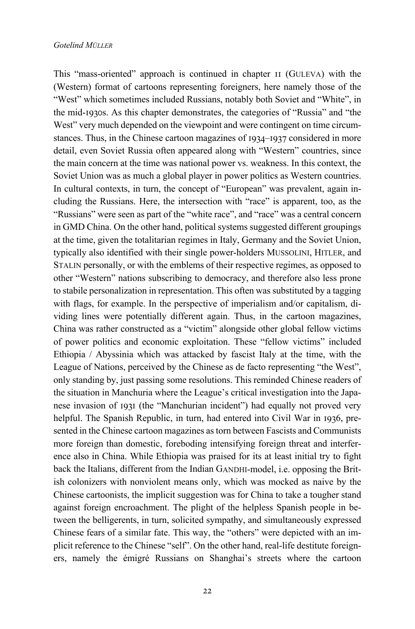This "mass-oriented" approach is continued in chapter II (GULEVA) with the (Western) format of cartoons representing foreigners, here namely those of the "West" which sometimes included Russians, notably both Soviet and "White", in the mid-1930s. As this chapter demonstrates, the categories of "Russia" and "the West" very much depended on the viewpoint and were contingent on time circumstances. Thus, in the Chinese cartoon magazines of  $1934-1937$  considered in more detail, even Soviet Russia often appeared along with "Western" countries, since the main concern at the time was national power vs. weakness. In this context, the Soviet Union was as much a global player in power politics as Western countries. In cultural contexts, in turn, the concept of "European" was prevalent, again including the Russians. Here, the intersection with "race" is apparent, too, as the "Russians" were seen as part of the "white race", and "race" was a central concern in GMD China. On the other hand, political systems suggested different groupings at the time, given the totalitarian regimes in Italy, Germany and the Soviet Union, typically also identified with their single power-holders MUSSOLINI, HITLER, and STALIN personally, or with the emblems of their respective regimes, as opposed to other "Western" nations subscribing to democracy, and therefore also less prone to stabile personalization in representation. This often was substituted by a tagging with flags, for example. In the perspective of imperialism and/or capitalism, dividing lines were potentially different again. Thus, in the cartoon magazines, China was rather constructed as a "victim" alongside other global fellow victims of power politics and economic exploitation. These "fellow victims" included Ethiopia / Abyssinia which was attacked by fascist Italy at the time, with the League of Nations, perceived by the Chinese as de facto representing "the West", only standing by, just passing some resolutions. This reminded Chinese readers of the situation in Manchuria where the League's critical investigation into the Japanese invasion of 1931 (the "Manchurian incident") had equally not proved very helpful. The Spanish Republic, in turn, had entered into Civil War in 1936, presented in the Chinese cartoon magazines as torn between Fascists and Communists more foreign than domestic, foreboding intensifying foreign threat and interference also in China. While Ethiopia was praised for its at least initial try to fight back the Italians, different from the Indian GANDHI-model, i.e. opposing the British colonizers with nonviolent means only, which was mocked as naive by the Chinese cartoonists, the implicit suggestion was for China to take a tougher stand against foreign encroachment. The plight of the helpless Spanish people in between the belligerents, in turn, solicited sympathy, and simultaneously expressed Chinese fears of a similar fate. This way, the "others" were depicted with an implicit reference to the Chinese "self". On the other hand, real-life destitute foreigners, namely the émigré Russians on Shanghai's streets where the cartoon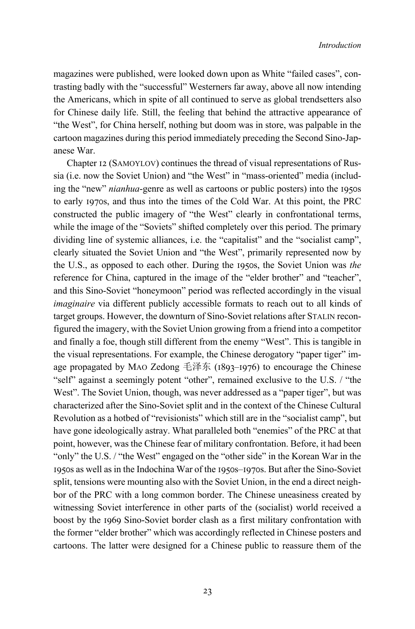magazines were published, were looked down upon as White "failed cases", contrasting badly with the "successful" Westerners far away, above all now intending the Americans, which in spite of all continued to serve as global trendsetters also for Chinese daily life. Still, the feeling that behind the attractive appearance of "the West", for China herself, nothing but doom was in store, was palpable in the cartoon magazines during this period immediately preceding the Second Sino-Japanese War.

Chapter 12 (SAMOYLOV) continues the thread of visual representations of Russia (i.e. now the Soviet Union) and "the West" in "mass-oriented" media (including the "new" *nianhua*-genre as well as cartoons or public posters) into the 1950s to early 1970s, and thus into the times of the Cold War. At this point, the PRC constructed the public imagery of "the West" clearly in confrontational terms, while the image of the "Soviets" shifted completely over this period. The primary dividing line of systemic alliances, i.e. the "capitalist" and the "socialist camp", clearly situated the Soviet Union and "the West", primarily represented now by the U.S., as opposed to each other. During the 1950s, the Soviet Union was *the* reference for China, captured in the image of the "elder brother" and "teacher", and this Sino-Soviet "honeymoon" period was reflected accordingly in the visual *imaginaire* via different publicly accessible formats to reach out to all kinds of target groups. However, the downturn of Sino-Soviet relations after STALIN reconfigured the imagery, with the Soviet Union growing from a friend into a competitor and finally a foe, though still different from the enemy "West". This is tangible in the visual representations. For example, the Chinese derogatory "paper tiger" image propagated by MAO Zedong 毛泽东 ( $1893-1976$ ) to encourage the Chinese "self" against a seemingly potent "other", remained exclusive to the U.S. / "the West". The Soviet Union, though, was never addressed as a "paper tiger", but was characterized after the Sino-Soviet split and in the context of the Chinese Cultural Revolution as a hotbed of "revisionists" which still are in the "socialist camp", but have gone ideologically astray. What paralleled both "enemies" of the PRC at that point, however, was the Chinese fear of military confrontation. Before, it had been "only" the U.S. / "the West" engaged on the "other side" in the Korean War in the  $I<sub>950s</sub>$  as well as in the Indochina War of the  $I<sub>950s</sub>$ – $I<sub>970s</sub>$ . But after the Sino-Soviet split, tensions were mounting also with the Soviet Union, in the end a direct neighbor of the PRC with a long common border. The Chinese uneasiness created by witnessing Soviet interference in other parts of the (socialist) world received a boost by the 1969 Sino-Soviet border clash as a first military confrontation with the former "elder brother" which was accordingly reflected in Chinese posters and cartoons. The latter were designed for a Chinese public to reassure them of the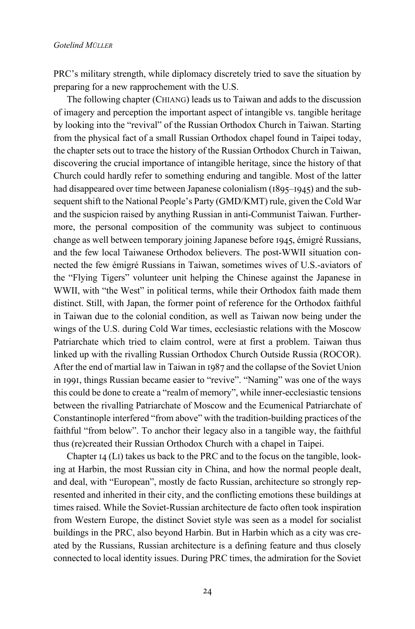PRC's military strength, while diplomacy discretely tried to save the situation by preparing for a new rapprochement with the U.S.

The following chapter (CHIANG) leads us to Taiwan and adds to the discussion of imagery and perception the important aspect of intangible vs. tangible heritage by looking into the "revival" of the Russian Orthodox Church in Taiwan. Starting from the physical fact of a small Russian Orthodox chapel found in Taipei today, the chapter sets out to trace the history of the Russian Orthodox Church in Taiwan, discovering the crucial importance of intangible heritage, since the history of that Church could hardly refer to something enduring and tangible. Most of the latter had disappeared over time between Japanese colonialism  $(1895-1945)$  and the subsequent shift to the National People's Party (GMD/KMT) rule, given the Cold War and the suspicion raised by anything Russian in anti-Communist Taiwan. Furthermore, the personal composition of the community was subject to continuous change as well between temporary joining Japanese before 1945, émigré Russians, and the few local Taiwanese Orthodox believers. The post-WWII situation connected the few émigré Russians in Taiwan, sometimes wives of U.S.-aviators of the "Flying Tigers" volunteer unit helping the Chinese against the Japanese in WWII, with "the West" in political terms, while their Orthodox faith made them distinct. Still, with Japan, the former point of reference for the Orthodox faithful in Taiwan due to the colonial condition, as well as Taiwan now being under the wings of the U.S. during Cold War times, ecclesiastic relations with the Moscow Patriarchate which tried to claim control, were at first a problem. Taiwan thus linked up with the rivalling Russian Orthodox Church Outside Russia (ROCOR). After the end of martial law in Taiwan in 1987 and the collapse of the Soviet Union in 1991, things Russian became easier to "revive". "Naming" was one of the ways this could be done to create a "realm of memory", while inner-ecclesiastic tensions between the rivalling Patriarchate of Moscow and the Ecumenical Patriarchate of Constantinople interfered "from above" with the tradition-building practices of the faithful "from below". To anchor their legacy also in a tangible way, the faithful thus (re)created their Russian Orthodox Church with a chapel in Taipei.

Chapter  $I_4$  (LI) takes us back to the PRC and to the focus on the tangible, looking at Harbin, the most Russian city in China, and how the normal people dealt, and deal, with "European", mostly de facto Russian, architecture so strongly represented and inherited in their city, and the conflicting emotions these buildings at times raised. While the Soviet-Russian architecture de facto often took inspiration from Western Europe, the distinct Soviet style was seen as a model for socialist buildings in the PRC, also beyond Harbin. But in Harbin which as a city was created by the Russians, Russian architecture is a defining feature and thus closely connected to local identity issues. During PRC times, the admiration for the Soviet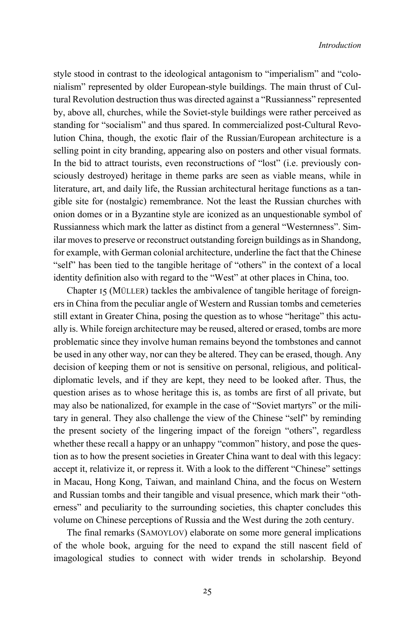style stood in contrast to the ideological antagonism to "imperialism" and "colonialism" represented by older European-style buildings. The main thrust of Cultural Revolution destruction thus was directed against a "Russianness" represented by, above all, churches, while the Soviet-style buildings were rather perceived as standing for "socialism" and thus spared. In commercialized post-Cultural Revolution China, though, the exotic flair of the Russian/European architecture is a selling point in city branding, appearing also on posters and other visual formats. In the bid to attract tourists, even reconstructions of "lost" (i.e. previously consciously destroyed) heritage in theme parks are seen as viable means, while in literature, art, and daily life, the Russian architectural heritage functions as a tangible site for (nostalgic) remembrance. Not the least the Russian churches with onion domes or in a Byzantine style are iconized as an unquestionable symbol of Russianness which mark the latter as distinct from a general "Westernness". Similar moves to preserve or reconstruct outstanding foreign buildings as in Shandong, for example, with German colonial architecture, underline the fact that the Chinese "self" has been tied to the tangible heritage of "others" in the context of a local identity definition also with regard to the "West" at other places in China, too.

Chapter 15 (MÜLLER) tackles the ambivalence of tangible heritage of foreigners in China from the peculiar angle of Western and Russian tombs and cemeteries still extant in Greater China, posing the question as to whose "heritage" this actually is. While foreign architecture may be reused, altered or erased, tombs are more problematic since they involve human remains beyond the tombstones and cannot be used in any other way, nor can they be altered. They can be erased, though. Any decision of keeping them or not is sensitive on personal, religious, and politicaldiplomatic levels, and if they are kept, they need to be looked after. Thus, the question arises as to whose heritage this is, as tombs are first of all private, but may also be nationalized, for example in the case of "Soviet martyrs" or the military in general. They also challenge the view of the Chinese "self" by reminding the present society of the lingering impact of the foreign "others", regardless whether these recall a happy or an unhappy "common" history, and pose the question as to how the present societies in Greater China want to deal with this legacy: accept it, relativize it, or repress it. With a look to the different "Chinese" settings in Macau, Hong Kong, Taiwan, and mainland China, and the focus on Western and Russian tombs and their tangible and visual presence, which mark their "otherness" and peculiarity to the surrounding societies, this chapter concludes this volume on Chinese perceptions of Russia and the West during the 20th century.

The final remarks (SAMOYLOV) elaborate on some more general implications of the whole book, arguing for the need to expand the still nascent field of imagological studies to connect with wider trends in scholarship. Beyond